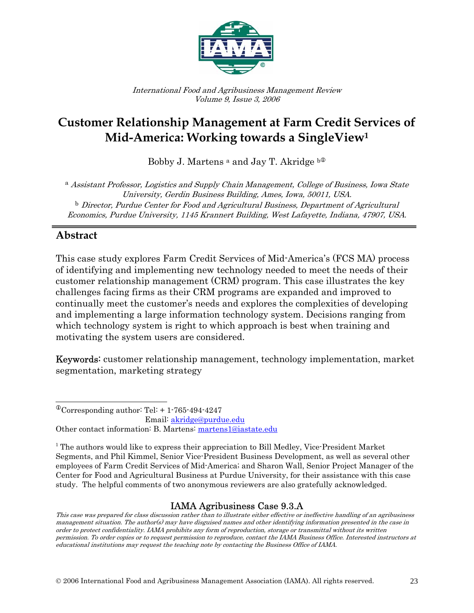

International Food and Agribusiness Management Review Volume 9, Issue 3, 2006

# **Customer Relationship Management at Farm Credit Services of Mid-America: Working towards a SingleView1**

Bobby J. Martens  $a$  and Jay T. Akridge  $b^{\textcircled{0}}$ 

<sup>a</sup> Assistant Professor, Logistics and Supply Chain Management, College of Business, Iowa State University, Gerdin Business Building, Ames, Iowa, 50011, USA. b Director, Purdue Center for Food and Agricultural Business, Department of Agricultural Economics, Purdue University, 1145 Krannert Building, West Lafayette, Indiana, 47907, USA.

## **Abstract**

This case study explores Farm Credit Services of Mid-America's (FCS MA) process of identifying and implementing new technology needed to meet the needs of their customer relationship management (CRM) program. This case illustrates the key challenges facing firms as their CRM programs are expanded and improved to continually meet the customer's needs and explores the complexities of developing and implementing a large information technology system. Decisions ranging from which technology system is right to which approach is best when training and motivating the system users are considered.

Keywords: customer relationship management, technology implementation, market segmentation, marketing strategy

### IAMA Agribusiness Case 9.3.A

 $\overline{a}$  $^{\circ}$ Corresponding author: Tel: + 1-765-494-4247

Email: akridge@purdue.edu

Other contact information: B. Martens: martens1@iastate.edu

<sup>&</sup>lt;sup>1</sup> The authors would like to express their appreciation to Bill Medley, Vice-President Market Segments, and Phil Kimmel, Senior Vice-President Business Development, as well as several other employees of Farm Credit Services of Mid-America; and Sharon Wall, Senior Project Manager of the Center for Food and Agricultural Business at Purdue University, for their assistance with this case study. The helpful comments of two anonymous reviewers are also gratefully acknowledged.

This case was prepared for class discussion rather than to illustrate either effective or ineffective handling of an agribusiness management situation. The author(s) may have disguised names and other identifying information presented in the case in order to protect confidentiality. IAMA prohibits any form of reproduction, storage or transmittal without its written permission. To order copies or to request permission to reproduce, contact the IAMA Business Office. Interested instructors at educational institutions may request the teaching note by contacting the Business Office of IAMA.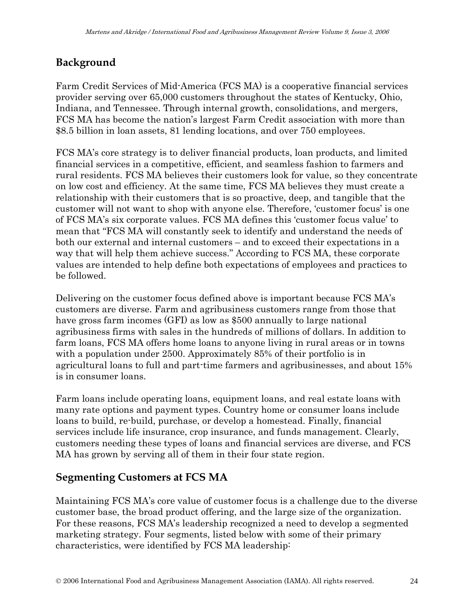## **Background**

Farm Credit Services of Mid-America (FCS MA) is a cooperative financial services provider serving over 65,000 customers throughout the states of Kentucky, Ohio, Indiana, and Tennessee. Through internal growth, consolidations, and mergers, FCS MA has become the nation's largest Farm Credit association with more than \$8.5 billion in loan assets, 81 lending locations, and over 750 employees.

FCS MA's core strategy is to deliver financial products, loan products, and limited financial services in a competitive, efficient, and seamless fashion to farmers and rural residents. FCS MA believes their customers look for value, so they concentrate on low cost and efficiency. At the same time, FCS MA believes they must create a relationship with their customers that is so proactive, deep, and tangible that the customer will not want to shop with anyone else. Therefore, 'customer focus' is one of FCS MA's six corporate values. FCS MA defines this 'customer focus value' to mean that "FCS MA will constantly seek to identify and understand the needs of both our external and internal customers – and to exceed their expectations in a way that will help them achieve success." According to FCS MA, these corporate values are intended to help define both expectations of employees and practices to be followed.

Delivering on the customer focus defined above is important because FCS MA's customers are diverse. Farm and agribusiness customers range from those that have gross farm incomes (GFI) as low as \$500 annually to large national agribusiness firms with sales in the hundreds of millions of dollars. In addition to farm loans, FCS MA offers home loans to anyone living in rural areas or in towns with a population under 2500. Approximately 85% of their portfolio is in agricultural loans to full and part-time farmers and agribusinesses, and about 15% is in consumer loans.

Farm loans include operating loans, equipment loans, and real estate loans with many rate options and payment types. Country home or consumer loans include loans to build, re-build, purchase, or develop a homestead. Finally, financial services include life insurance, crop insurance, and funds management. Clearly, customers needing these types of loans and financial services are diverse, and FCS MA has grown by serving all of them in their four state region.

## **Segmenting Customers at FCS MA**

Maintaining FCS MA's core value of customer focus is a challenge due to the diverse customer base, the broad product offering, and the large size of the organization. For these reasons, FCS MA's leadership recognized a need to develop a segmented marketing strategy. Four segments, listed below with some of their primary characteristics, were identified by FCS MA leadership: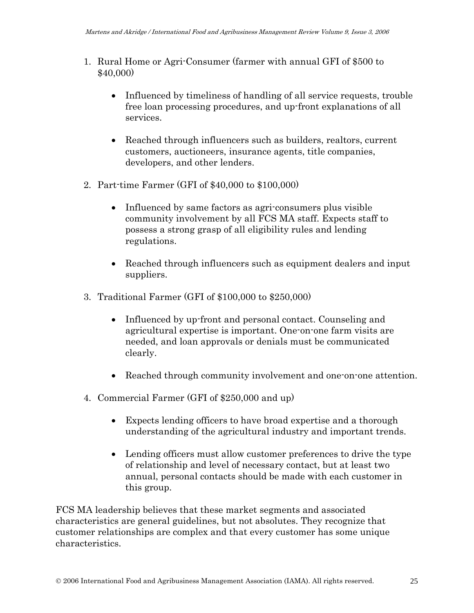- 1. Rural Home or Agri-Consumer (farmer with annual GFI of \$500 to \$40,000)
	- Influenced by timeliness of handling of all service requests, trouble free loan processing procedures, and up-front explanations of all services.
	- Reached through influencers such as builders, realtors, current customers, auctioneers, insurance agents, title companies, developers, and other lenders.
- 2. Part-time Farmer (GFI of \$40,000 to \$100,000)
	- Influenced by same factors as agri-consumers plus visible community involvement by all FCS MA staff. Expects staff to possess a strong grasp of all eligibility rules and lending regulations.
	- Reached through influencers such as equipment dealers and input suppliers.
- 3. Traditional Farmer (GFI of \$100,000 to \$250,000)
	- Influenced by up-front and personal contact. Counseling and agricultural expertise is important. One-on-one farm visits are needed, and loan approvals or denials must be communicated clearly.
	- Reached through community involvement and one-on-one attention.
- 4. Commercial Farmer (GFI of \$250,000 and up)
	- Expects lending officers to have broad expertise and a thorough understanding of the agricultural industry and important trends.
	- Lending officers must allow customer preferences to drive the type of relationship and level of necessary contact, but at least two annual, personal contacts should be made with each customer in this group.

FCS MA leadership believes that these market segments and associated characteristics are general guidelines, but not absolutes. They recognize that customer relationships are complex and that every customer has some unique characteristics.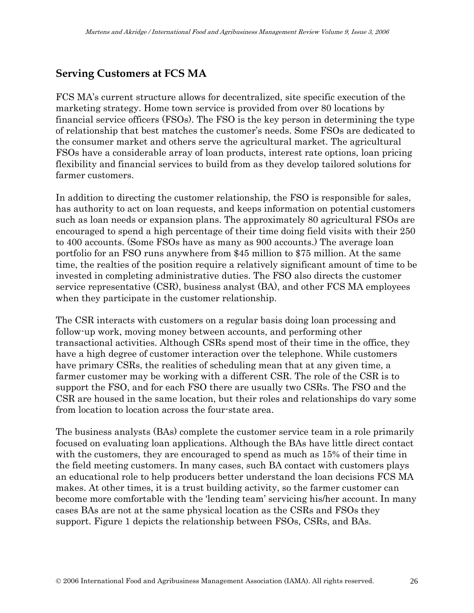## **Serving Customers at FCS MA**

FCS MA's current structure allows for decentralized, site specific execution of the marketing strategy. Home town service is provided from over 80 locations by financial service officers (FSOs). The FSO is the key person in determining the type of relationship that best matches the customer's needs. Some FSOs are dedicated to the consumer market and others serve the agricultural market. The agricultural FSOs have a considerable array of loan products, interest rate options, loan pricing flexibility and financial services to build from as they develop tailored solutions for farmer customers.

In addition to directing the customer relationship, the FSO is responsible for sales, has authority to act on loan requests, and keeps information on potential customers such as loan needs or expansion plans. The approximately 80 agricultural FSOs are encouraged to spend a high percentage of their time doing field visits with their 250 to 400 accounts. (Some FSOs have as many as 900 accounts.) The average loan portfolio for an FSO runs anywhere from \$45 million to \$75 million. At the same time, the realties of the position require a relatively significant amount of time to be invested in completing administrative duties. The FSO also directs the customer service representative (CSR), business analyst (BA), and other FCS MA employees when they participate in the customer relationship.

The CSR interacts with customers on a regular basis doing loan processing and follow-up work, moving money between accounts, and performing other transactional activities. Although CSRs spend most of their time in the office, they have a high degree of customer interaction over the telephone. While customers have primary CSRs, the realities of scheduling mean that at any given time, a farmer customer may be working with a different CSR. The role of the CSR is to support the FSO, and for each FSO there are usually two CSRs. The FSO and the CSR are housed in the same location, but their roles and relationships do vary some from location to location across the four-state area.

The business analysts (BAs) complete the customer service team in a role primarily focused on evaluating loan applications. Although the BAs have little direct contact with the customers, they are encouraged to spend as much as 15% of their time in the field meeting customers. In many cases, such BA contact with customers plays an educational role to help producers better understand the loan decisions FCS MA makes. At other times, it is a trust building activity, so the farmer customer can become more comfortable with the 'lending team' servicing his/her account. In many cases BAs are not at the same physical location as the CSRs and FSOs they support. Figure 1 depicts the relationship between FSOs, CSRs, and BAs.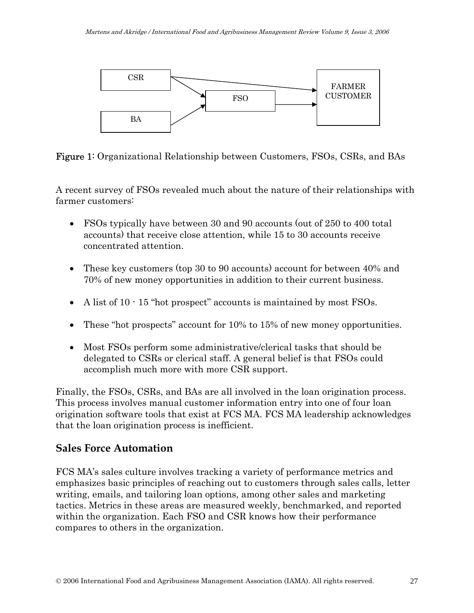

Figure 1: Organizational Relationship between Customers, FSOs, CSRs, and BAs

A recent survey of FSOs revealed much about the nature of their relationships with farmer customers:

- FSOs typically have between 30 and 90 accounts (out of 250 to 400 total accounts) that receive close attention, while 15 to 30 accounts receive concentrated attention.
- These key customers (top 30 to 90 accounts) account for between 40% and 70% of new money opportunities in addition to their current business.
- A list of 10  $\cdot$  15 "hot prospect" accounts is maintained by most FSOs.
- These "hot prospects" account for 10% to 15% of new money opportunities.
- Most FSOs perform some administrative/clerical tasks that should be delegated to CSRs or clerical staff. A general belief is that FSOs could accomplish much more with more CSR support.

Finally, the FSOs, CSRs, and BAs are all involved in the loan origination process. This process involves manual customer information entry into one of four loan origination software tools that exist at FCS MA. FCS MA leadership acknowledges that the loan origination process is inefficient.

### **Sales Force Automation**

FCS MA's sales culture involves tracking a variety of performance metrics and emphasizes basic principles of reaching out to customers through sales calls, letter writing, emails, and tailoring loan options, among other sales and marketing tactics. Metrics in these areas are measured weekly, benchmarked, and reported within the organization. Each FSO and CSR knows how their performance compares to others in the organization.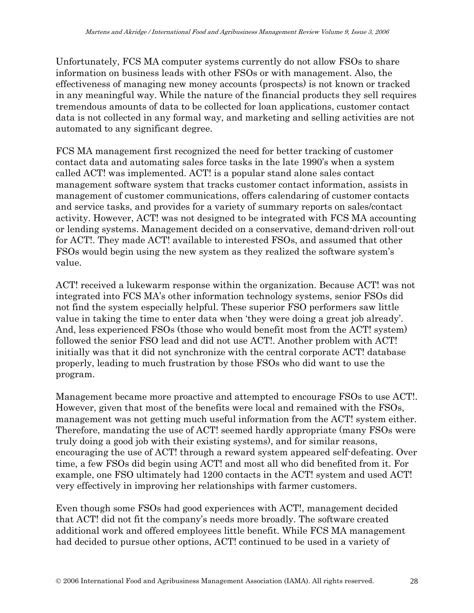Unfortunately, FCS MA computer systems currently do not allow FSOs to share information on business leads with other FSOs or with management. Also, the effectiveness of managing new money accounts (prospects) is not known or tracked in any meaningful way. While the nature of the financial products they sell requires tremendous amounts of data to be collected for loan applications, customer contact data is not collected in any formal way, and marketing and selling activities are not automated to any significant degree.

FCS MA management first recognized the need for better tracking of customer contact data and automating sales force tasks in the late 1990's when a system called ACT! was implemented. ACT! is a popular stand alone sales contact management software system that tracks customer contact information, assists in management of customer communications, offers calendaring of customer contacts and service tasks, and provides for a variety of summary reports on sales/contact activity. However, ACT! was not designed to be integrated with FCS MA accounting or lending systems. Management decided on a conservative, demand-driven roll-out for ACT!. They made ACT! available to interested FSOs, and assumed that other FSOs would begin using the new system as they realized the software system's value.

ACT! received a lukewarm response within the organization. Because ACT! was not integrated into FCS MA's other information technology systems, senior FSOs did not find the system especially helpful. These superior FSO performers saw little value in taking the time to enter data when 'they were doing a great job already'. And, less experienced FSOs (those who would benefit most from the ACT! system) followed the senior FSO lead and did not use ACT!. Another problem with ACT! initially was that it did not synchronize with the central corporate ACT! database properly, leading to much frustration by those FSOs who did want to use the program.

Management became more proactive and attempted to encourage FSOs to use ACT!. However, given that most of the benefits were local and remained with the FSOs, management was not getting much useful information from the ACT! system either. Therefore, mandating the use of ACT! seemed hardly appropriate (many FSOs were truly doing a good job with their existing systems), and for similar reasons, encouraging the use of ACT! through a reward system appeared self-defeating. Over time, a few FSOs did begin using ACT! and most all who did benefited from it. For example, one FSO ultimately had 1200 contacts in the ACT! system and used ACT! very effectively in improving her relationships with farmer customers.

Even though some FSOs had good experiences with ACT!, management decided that ACT! did not fit the company's needs more broadly. The software created additional work and offered employees little benefit. While FCS MA management had decided to pursue other options, ACT! continued to be used in a variety of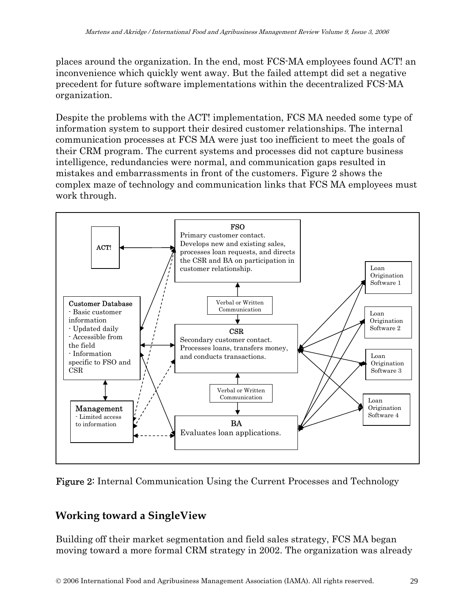places around the organization. In the end, most FCS-MA employees found ACT! an inconvenience which quickly went away. But the failed attempt did set a negative precedent for future software implementations within the decentralized FCS-MA organization.

Despite the problems with the ACT! implementation, FCS MA needed some type of information system to support their desired customer relationships. The internal communication processes at FCS MA were just too inefficient to meet the goals of their CRM program. The current systems and processes did not capture business intelligence, redundancies were normal, and communication gaps resulted in mistakes and embarrassments in front of the customers. Figure 2 shows the complex maze of technology and communication links that FCS MA employees must work through.





## **Working toward a SingleView**

Building off their market segmentation and field sales strategy, FCS MA began moving toward a more formal CRM strategy in 2002. The organization was already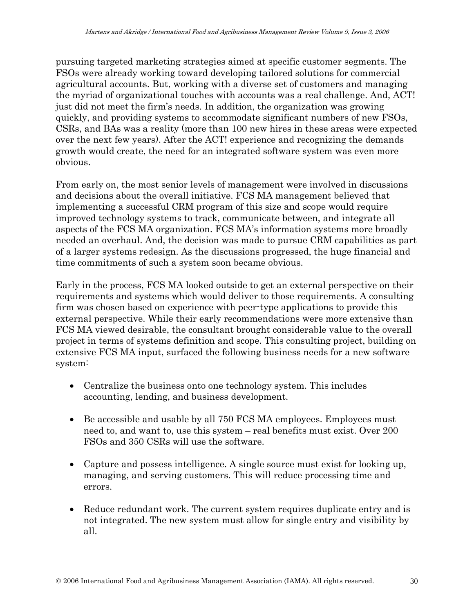pursuing targeted marketing strategies aimed at specific customer segments. The FSOs were already working toward developing tailored solutions for commercial agricultural accounts. But, working with a diverse set of customers and managing the myriad of organizational touches with accounts was a real challenge. And, ACT! just did not meet the firm's needs. In addition, the organization was growing quickly, and providing systems to accommodate significant numbers of new FSOs, CSRs, and BAs was a reality (more than 100 new hires in these areas were expected over the next few years). After the ACT! experience and recognizing the demands growth would create, the need for an integrated software system was even more obvious.

From early on, the most senior levels of management were involved in discussions and decisions about the overall initiative. FCS MA management believed that implementing a successful CRM program of this size and scope would require improved technology systems to track, communicate between, and integrate all aspects of the FCS MA organization. FCS MA's information systems more broadly needed an overhaul. And, the decision was made to pursue CRM capabilities as part of a larger systems redesign. As the discussions progressed, the huge financial and time commitments of such a system soon became obvious.

Early in the process, FCS MA looked outside to get an external perspective on their requirements and systems which would deliver to those requirements. A consulting firm was chosen based on experience with peer-type applications to provide this external perspective. While their early recommendations were more extensive than FCS MA viewed desirable, the consultant brought considerable value to the overall project in terms of systems definition and scope. This consulting project, building on extensive FCS MA input, surfaced the following business needs for a new software system:

- Centralize the business onto one technology system. This includes accounting, lending, and business development.
- Be accessible and usable by all 750 FCS MA employees. Employees must need to, and want to, use this system – real benefits must exist. Over 200 FSOs and 350 CSRs will use the software.
- Capture and possess intelligence. A single source must exist for looking up, managing, and serving customers. This will reduce processing time and errors.
- Reduce redundant work. The current system requires duplicate entry and is not integrated. The new system must allow for single entry and visibility by all.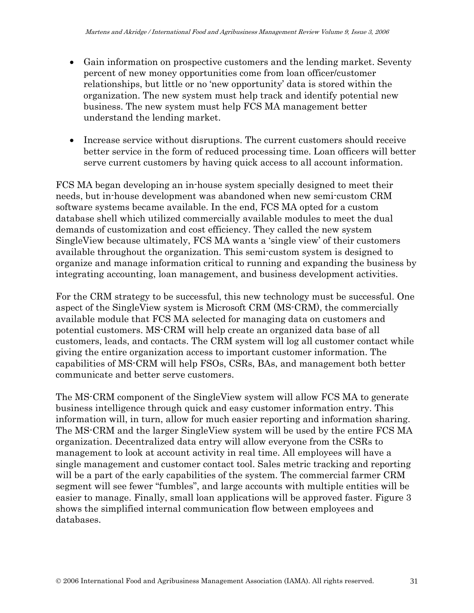- Gain information on prospective customers and the lending market. Seventy percent of new money opportunities come from loan officer/customer relationships, but little or no 'new opportunity' data is stored within the organization. The new system must help track and identify potential new business. The new system must help FCS MA management better understand the lending market.
- Increase service without disruptions. The current customers should receive better service in the form of reduced processing time. Loan officers will better serve current customers by having quick access to all account information.

FCS MA began developing an in-house system specially designed to meet their needs, but in-house development was abandoned when new semi-custom CRM software systems became available. In the end, FCS MA opted for a custom database shell which utilized commercially available modules to meet the dual demands of customization and cost efficiency. They called the new system SingleView because ultimately, FCS MA wants a 'single view' of their customers available throughout the organization. This semi-custom system is designed to organize and manage information critical to running and expanding the business by integrating accounting, loan management, and business development activities.

For the CRM strategy to be successful, this new technology must be successful. One aspect of the SingleView system is Microsoft CRM (MS-CRM), the commercially available module that FCS MA selected for managing data on customers and potential customers. MS-CRM will help create an organized data base of all customers, leads, and contacts. The CRM system will log all customer contact while giving the entire organization access to important customer information. The capabilities of MS-CRM will help FSOs, CSRs, BAs, and management both better communicate and better serve customers.

The MS-CRM component of the SingleView system will allow FCS MA to generate business intelligence through quick and easy customer information entry. This information will, in turn, allow for much easier reporting and information sharing. The MS-CRM and the larger SingleView system will be used by the entire FCS MA organization. Decentralized data entry will allow everyone from the CSRs to management to look at account activity in real time. All employees will have a single management and customer contact tool. Sales metric tracking and reporting will be a part of the early capabilities of the system. The commercial farmer CRM segment will see fewer "fumbles", and large accounts with multiple entities will be easier to manage. Finally, small loan applications will be approved faster. Figure 3 shows the simplified internal communication flow between employees and databases.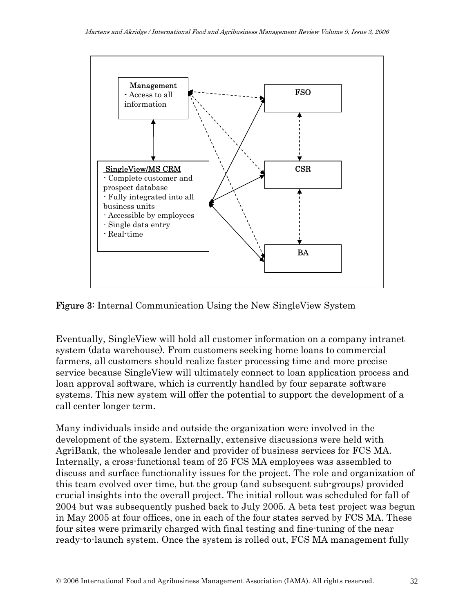

Figure 3: Internal Communication Using the New SingleView System

Eventually, SingleView will hold all customer information on a company intranet system (data warehouse). From customers seeking home loans to commercial farmers, all customers should realize faster processing time and more precise service because SingleView will ultimately connect to loan application process and loan approval software, which is currently handled by four separate software systems. This new system will offer the potential to support the development of a call center longer term.

Many individuals inside and outside the organization were involved in the development of the system. Externally, extensive discussions were held with AgriBank, the wholesale lender and provider of business services for FCS MA. Internally, a cross-functional team of 25 FCS MA employees was assembled to discuss and surface functionality issues for the project. The role and organization of this team evolved over time, but the group (and subsequent sub-groups) provided crucial insights into the overall project. The initial rollout was scheduled for fall of 2004 but was subsequently pushed back to July 2005. A beta test project was begun in May 2005 at four offices, one in each of the four states served by FCS MA. These four sites were primarily charged with final testing and fine-tuning of the near ready-to-launch system. Once the system is rolled out, FCS MA management fully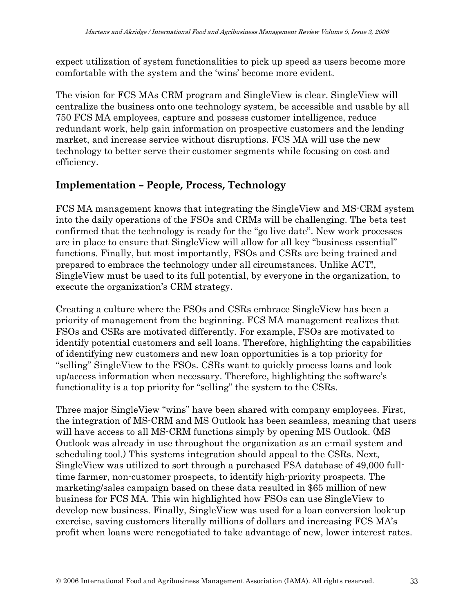expect utilization of system functionalities to pick up speed as users become more comfortable with the system and the 'wins' become more evident.

The vision for FCS MAs CRM program and SingleView is clear. SingleView will centralize the business onto one technology system, be accessible and usable by all 750 FCS MA employees, capture and possess customer intelligence, reduce redundant work, help gain information on prospective customers and the lending market, and increase service without disruptions. FCS MA will use the new technology to better serve their customer segments while focusing on cost and efficiency.

## **Implementation – People, Process, Technology**

FCS MA management knows that integrating the SingleView and MS-CRM system into the daily operations of the FSOs and CRMs will be challenging. The beta test confirmed that the technology is ready for the "go live date". New work processes are in place to ensure that SingleView will allow for all key "business essential" functions. Finally, but most importantly, FSOs and CSRs are being trained and prepared to embrace the technology under all circumstances. Unlike ACT!, SingleView must be used to its full potential, by everyone in the organization, to execute the organization's CRM strategy.

Creating a culture where the FSOs and CSRs embrace SingleView has been a priority of management from the beginning. FCS MA management realizes that FSOs and CSRs are motivated differently. For example, FSOs are motivated to identify potential customers and sell loans. Therefore, highlighting the capabilities of identifying new customers and new loan opportunities is a top priority for "selling" SingleView to the FSOs. CSRs want to quickly process loans and look up/access information when necessary. Therefore, highlighting the software's functionality is a top priority for "selling" the system to the CSRs.

Three major SingleView "wins" have been shared with company employees. First, the integration of MS-CRM and MS Outlook has been seamless, meaning that users will have access to all MS-CRM functions simply by opening MS Outlook. (MS Outlook was already in use throughout the organization as an e-mail system and scheduling tool.) This systems integration should appeal to the CSRs. Next, SingleView was utilized to sort through a purchased FSA database of 49,000 fulltime farmer, non-customer prospects, to identify high-priority prospects. The marketing/sales campaign based on these data resulted in \$65 million of new business for FCS MA. This win highlighted how FSOs can use SingleView to develop new business. Finally, SingleView was used for a loan conversion look-up exercise, saving customers literally millions of dollars and increasing FCS MA's profit when loans were renegotiated to take advantage of new, lower interest rates.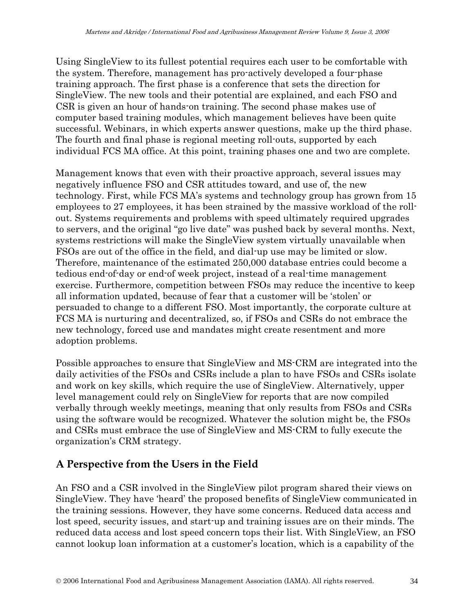Using SingleView to its fullest potential requires each user to be comfortable with the system. Therefore, management has pro-actively developed a four-phase training approach. The first phase is a conference that sets the direction for SingleView. The new tools and their potential are explained, and each FSO and CSR is given an hour of hands-on training. The second phase makes use of computer based training modules, which management believes have been quite successful. Webinars, in which experts answer questions, make up the third phase. The fourth and final phase is regional meeting roll-outs, supported by each individual FCS MA office. At this point, training phases one and two are complete.

Management knows that even with their proactive approach, several issues may negatively influence FSO and CSR attitudes toward, and use of, the new technology. First, while FCS MA's systems and technology group has grown from 15 employees to 27 employees, it has been strained by the massive workload of the rollout. Systems requirements and problems with speed ultimately required upgrades to servers, and the original "go live date" was pushed back by several months. Next, systems restrictions will make the SingleView system virtually unavailable when FSOs are out of the office in the field, and dial-up use may be limited or slow. Therefore, maintenance of the estimated 250,000 database entries could become a tedious end-of-day or end-of week project, instead of a real-time management exercise. Furthermore, competition between FSOs may reduce the incentive to keep all information updated, because of fear that a customer will be 'stolen' or persuaded to change to a different FSO. Most importantly, the corporate culture at FCS MA is nurturing and decentralized, so, if FSOs and CSRs do not embrace the new technology, forced use and mandates might create resentment and more adoption problems.

Possible approaches to ensure that SingleView and MS-CRM are integrated into the daily activities of the FSOs and CSRs include a plan to have FSOs and CSRs isolate and work on key skills, which require the use of SingleView. Alternatively, upper level management could rely on SingleView for reports that are now compiled verbally through weekly meetings, meaning that only results from FSOs and CSRs using the software would be recognized. Whatever the solution might be, the FSOs and CSRs must embrace the use of SingleView and MS-CRM to fully execute the organization's CRM strategy.

## **A Perspective from the Users in the Field**

An FSO and a CSR involved in the SingleView pilot program shared their views on SingleView. They have 'heard' the proposed benefits of SingleView communicated in the training sessions. However, they have some concerns. Reduced data access and lost speed, security issues, and start-up and training issues are on their minds. The reduced data access and lost speed concern tops their list. With SingleView, an FSO cannot lookup loan information at a customer's location, which is a capability of the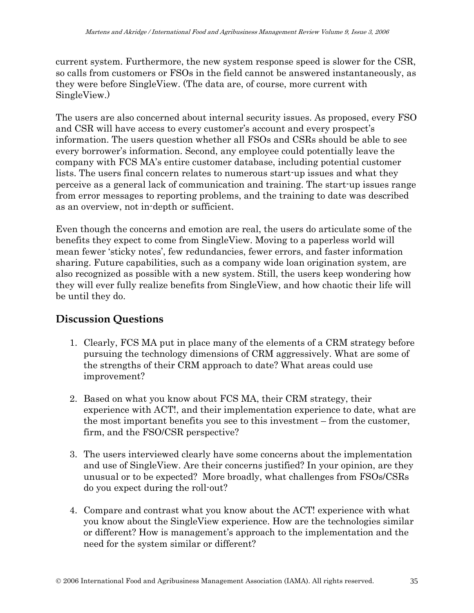current system. Furthermore, the new system response speed is slower for the CSR, so calls from customers or FSOs in the field cannot be answered instantaneously, as they were before SingleView. (The data are, of course, more current with SingleView.)

The users are also concerned about internal security issues. As proposed, every FSO and CSR will have access to every customer's account and every prospect's information. The users question whether all FSOs and CSRs should be able to see every borrower's information. Second, any employee could potentially leave the company with FCS MA's entire customer database, including potential customer lists. The users final concern relates to numerous start-up issues and what they perceive as a general lack of communication and training. The start-up issues range from error messages to reporting problems, and the training to date was described as an overview, not in-depth or sufficient.

Even though the concerns and emotion are real, the users do articulate some of the benefits they expect to come from SingleView. Moving to a paperless world will mean fewer 'sticky notes', few redundancies, fewer errors, and faster information sharing. Future capabilities, such as a company wide loan origination system, are also recognized as possible with a new system. Still, the users keep wondering how they will ever fully realize benefits from SingleView, and how chaotic their life will be until they do.

### **Discussion Questions**

- 1. Clearly, FCS MA put in place many of the elements of a CRM strategy before pursuing the technology dimensions of CRM aggressively. What are some of the strengths of their CRM approach to date? What areas could use improvement?
- 2. Based on what you know about FCS MA, their CRM strategy, their experience with ACT!, and their implementation experience to date, what are the most important benefits you see to this investment – from the customer, firm, and the FSO/CSR perspective?
- 3. The users interviewed clearly have some concerns about the implementation and use of SingleView. Are their concerns justified? In your opinion, are they unusual or to be expected? More broadly, what challenges from FSOs/CSRs do you expect during the roll-out?
- 4. Compare and contrast what you know about the ACT! experience with what you know about the SingleView experience. How are the technologies similar or different? How is management's approach to the implementation and the need for the system similar or different?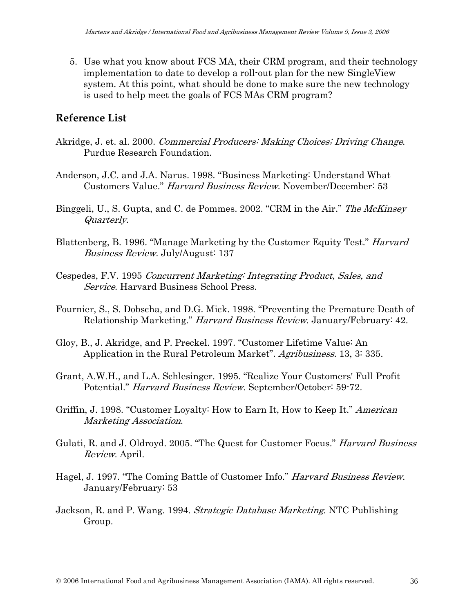5. Use what you know about FCS MA, their CRM program, and their technology implementation to date to develop a roll-out plan for the new SingleView system. At this point, what should be done to make sure the new technology is used to help meet the goals of FCS MAs CRM program?

#### **Reference List**

- Akridge, J. et. al. 2000. Commercial Producers: Making Choices; Driving Change. Purdue Research Foundation.
- Anderson, J.C. and J.A. Narus. 1998. "Business Marketing: Understand What Customers Value." Harvard Business Review. November/December: 53
- Binggeli, U., S. Gupta, and C. de Pommes. 2002. "CRM in the Air." The McKinsey Quarterly.
- Blattenberg, B. 1996. "Manage Marketing by the Customer Equity Test." Harvard Business Review. July/August: 137
- Cespedes, F.V. 1995 Concurrent Marketing: Integrating Product, Sales, and Service. Harvard Business School Press.
- Fournier, S., S. Dobscha, and D.G. Mick. 1998. "Preventing the Premature Death of Relationship Marketing." Harvard Business Review. January/February: 42.
- Gloy, B., J. Akridge, and P. Preckel. 1997. "Customer Lifetime Value: An Application in the Rural Petroleum Market". Agribusiness. 13, 3: 335.
- Grant, A.W.H., and L.A. Schlesinger. 1995. "Realize Your Customers' Full Profit Potential." Harvard Business Review. September/October: 59-72.
- Griffin, J. 1998. "Customer Loyalty: How to Earn It, How to Keep It." American Marketing Association.
- Gulati, R. and J. Oldroyd. 2005. "The Quest for Customer Focus." Harvard Business Review. April.
- Hagel, J. 1997. "The Coming Battle of Customer Info." Harvard Business Review. January/February: 53
- Jackson, R. and P. Wang. 1994. Strategic Database Marketing. NTC Publishing Group.